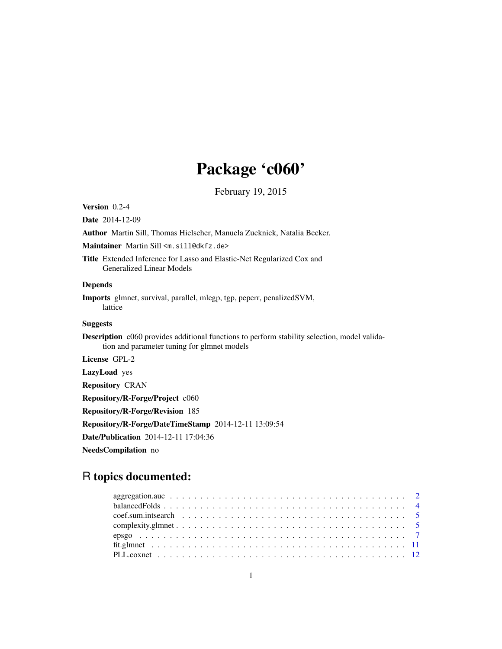# Package 'c060'

February 19, 2015

<span id="page-0-0"></span>Version 0.2-4

Date 2014-12-09

Author Martin Sill, Thomas Hielscher, Manuela Zucknick, Natalia Becker.

Maintainer Martin Sill <m.sill@dkfz.de>

Title Extended Inference for Lasso and Elastic-Net Regularized Cox and Generalized Linear Models

# Depends

Imports glmnet, survival, parallel, mlegp, tgp, peperr, penalizedSVM, lattice

# Suggests

Description c060 provides additional functions to perform stability selection, model validation and parameter tuning for glmnet models

License GPL-2

LazyLoad yes

Repository CRAN

Repository/R-Forge/Project c060

Repository/R-Forge/Revision 185

Repository/R-Forge/DateTimeStamp 2014-12-11 13:09:54

Date/Publication 2014-12-11 17:04:36

NeedsCompilation no

# R topics documented: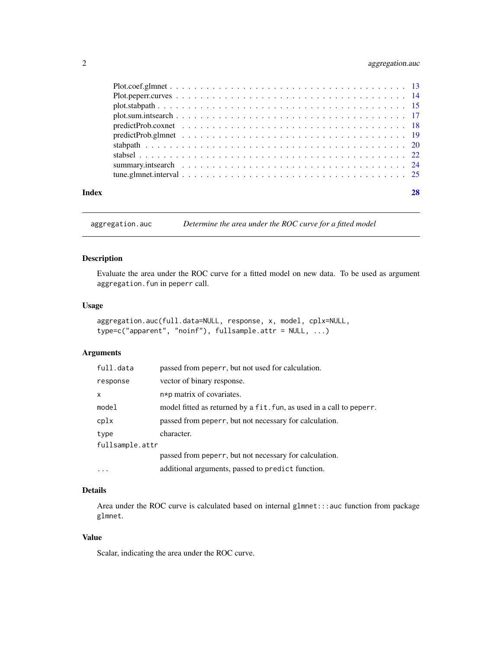# <span id="page-1-0"></span>2 aggregation.auc

| Index |  |
|-------|--|

aggregation.auc *Determine the area under the ROC curve for a fitted model*

# Description

Evaluate the area under the ROC curve for a fitted model on new data. To be used as argument aggregation.fun in peperr call.

#### Usage

```
aggregation.auc(full.data=NULL, response, x, model, cplx=NULL,
type=c("apparent", "noinf"), fullsample.attr = NULL, ...)
```
# Arguments

| full.data       | passed from peperr, but not used for calculation.                    |
|-----------------|----------------------------------------------------------------------|
| response        | vector of binary response.                                           |
| x               | n*p matrix of covariates.                                            |
| model           | model fitted as returned by a fit. fun, as used in a call to peperr. |
| cplx            | passed from peperr, but not necessary for calculation.               |
| type            | character.                                                           |
| fullsample.attr |                                                                      |
|                 | passed from peperr, but not necessary for calculation.               |
| $\cdots$        | additional arguments, passed to predict function.                    |

# Details

Area under the ROC curve is calculated based on internal glmnet:::auc function from package glmnet.

# Value

Scalar, indicating the area under the ROC curve.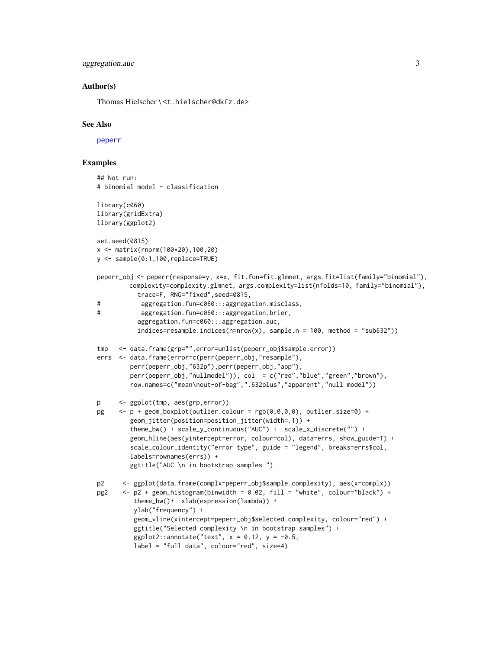# <span id="page-2-0"></span>aggregation.auc 3

# Author(s)

Thomas Hielscher \ <t.hielscher@dkfz.de>

#### See Also

[peperr](#page-0-0)

# Examples

```
## Not run:
# binomial model - classification
library(c060)
library(gridExtra)
library(ggplot2)
set.seed(0815)
x <- matrix(rnorm(100*20),100,20)
y <- sample(0:1,100,replace=TRUE)
peperr_obj <- peperr(response=y, x=x, fit.fun=fit.glmnet, args.fit=list(family="binomial"),
         complexity=complexity.glmnet, args.complexity=list(nfolds=10, family="binomial"),
           trace=F, RNG="fixed",seed=0815,
# aggregation.fun=c060:::aggregation.misclass,
# aggregation.fun=c060:::aggregation.brier,
           aggregation.fun=c060:::aggregation.auc,
           indices = resample.indices(n=nrow(x), sample.n = 100, method = "sub632"))tmp <- data.frame(grp="",error=unlist(peperr_obj$sample.error))
errs <- data.frame(error=c(perr(peperr_obj,"resample"),
         perr(peperr_obj,"632p"),perr(peperr_obj,"app"),
         perr(peperr_obj,"nullmodel")), col = c("red","blue","green","brown"),
         row.names=c("mean\nout-of-bag",".632plus","apparent","null model"))
p <- ggplot(tmp, aes(grp,error))
pg \langle -p + \text{geom\_boxplot}(\text{outlier}.\text{colour} = \text{rgb}(0, 0, 0, 0), \text{outlier}.\text{size=0}) +geom_jitter(position=position_jitter(width=.1)) +
         theme_bw() + scale_y_continuous("AUC") + scale_x_discrete("") +
         geom_hline(aes(yintercept=error, colour=col), data=errs, show_guide=T) +
         scale_colour_identity("error type", guide = "legend", breaks=errs$col,
         labels=rownames(errs)) +
         ggtitle("AUC \n in bootstrap samples ")
p2 <- ggplot(data.frame(complx=peperr_obj$sample.complexity), aes(x=complx))
pg2 \le -p2 + geom\_histogram(binwidth = 0.02, fill = "white", colour='black") +theme_bw()+ xlab(expression(lambda)) +
          ylab("frequency") +
          geom_vline(xintercept=peperr_obj$selected.complexity, colour="red") +
          ggtitle("Selected complexity \n in bootstrap samples") +
          ggplot2::annotate("text", x = 0.12, y = -0.5,label = "full data", colour="red", size=4)
```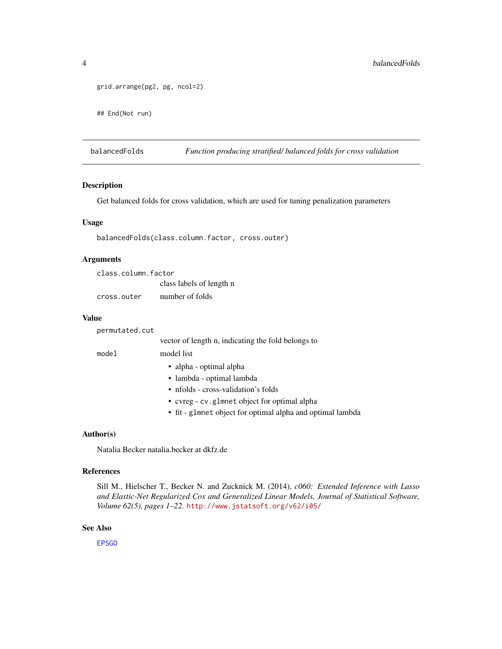```
grid.arrange(pg2, pg, ncol=2)
## End(Not run)
```
balancedFolds *Function producing stratified/ balanced folds for cross validation*

#### Description

Get balanced folds for cross validation, which are used for tuning penalization parameters

#### Usage

```
balancedFolds(class.column.factor, cross.outer)
```
## Arguments

| class.column.factor |                          |
|---------------------|--------------------------|
|                     | class labels of length n |
| cross.outer         | number of folds          |

#### Value

| permutated.cut |                                                            |
|----------------|------------------------------------------------------------|
|                | vector of length n, indicating the fold belongs to         |
| model          | model list                                                 |
|                | • alpha - optimal alpha                                    |
|                | • lambda - optimal lambda                                  |
|                | • nfolds - cross-validation's folds                        |
|                | • cvreg - cv. glmnet object for optimal alpha              |
|                | • fit - glmnet object for optimal alpha and optimal lambda |

#### Author(s)

Natalia Becker natalia.becker at dkfz.de

#### References

Sill M., Hielscher T., Becker N. and Zucknick M. (2014), *c060: Extended Inference with Lasso and Elastic-Net Regularized Cox and Generalized Linear Models, Journal of Statistical Software, Volume 62(5), pages 1–22.* <http://www.jstatsoft.org/v62/i05/>

#### See Also

[EPSGO](#page-0-0)

<span id="page-3-0"></span>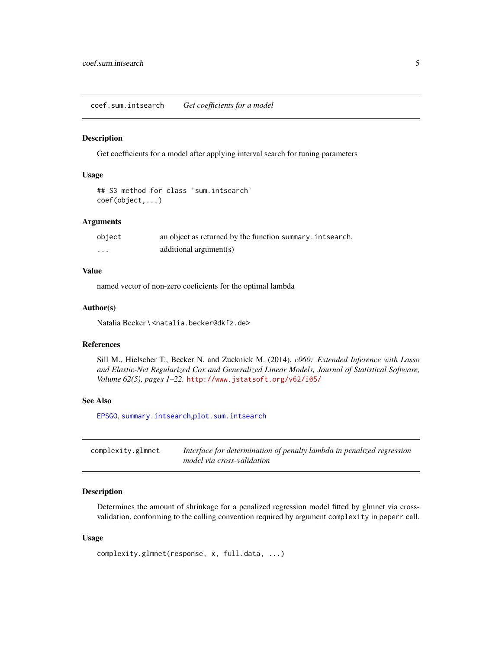<span id="page-4-0"></span>coef.sum.intsearch *Get coefficients for a model*

#### Description

Get coefficients for a model after applying interval search for tuning parameters

#### Usage

```
## S3 method for class 'sum.intsearch'
coef(object,...)
```
#### Arguments

| object | an object as returned by the function summary. intsearch. |
|--------|-----------------------------------------------------------|
| .      | additional argument(s)                                    |

# Value

named vector of non-zero coeficients for the optimal lambda

#### Author(s)

Natalia Becker \ <natalia.becker@dkfz.de>

# References

Sill M., Hielscher T., Becker N. and Zucknick M. (2014), *c060: Extended Inference with Lasso and Elastic-Net Regularized Cox and Generalized Linear Models, Journal of Statistical Software, Volume 62(5), pages 1–22.* <http://www.jstatsoft.org/v62/i05/>

# See Also

[EPSGO](#page-0-0), [summary.intsearch](#page-23-1),[plot.sum.intsearch](#page-16-1)

| complexity.glmnet | Interface for determination of penalty lambda in penalized regression |
|-------------------|-----------------------------------------------------------------------|
|                   | model via cross-validation                                            |

# Description

Determines the amount of shrinkage for a penalized regression model fitted by glmnet via crossvalidation, conforming to the calling convention required by argument complexity in peperr call.

#### Usage

```
complexity.glmnet(response, x, full.data, ...)
```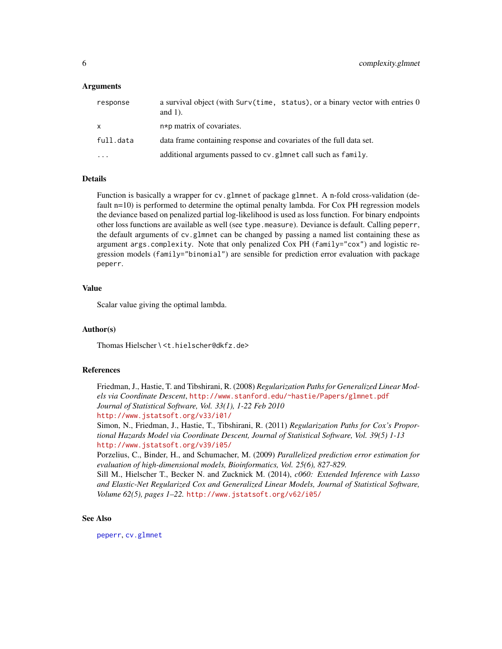#### <span id="page-5-0"></span>Arguments

| response     | a survival object (with Surv(time, status), or a binary vector with entries 0<br>and $1$ ). |
|--------------|---------------------------------------------------------------------------------------------|
| $\mathsf{x}$ | n*p matrix of covariates.                                                                   |
| full.data    | data frame containing response and covariates of the full data set.                         |
| $\ddotsc$    | additional arguments passed to cv. glmnet call such as family.                              |

#### Details

Function is basically a wrapper for cv.glmnet of package glmnet. A n-fold cross-validation (default n=10) is performed to determine the optimal penalty lambda. For Cox PH regression models the deviance based on penalized partial log-likelihood is used as loss function. For binary endpoints other loss functions are available as well (see type.measure). Deviance is default. Calling peperr, the default arguments of cv.glmnet can be changed by passing a named list containing these as argument args.complexity. Note that only penalized Cox PH (family="cox") and logistic regression models (family="binomial") are sensible for prediction error evaluation with package peperr.

# Value

Scalar value giving the optimal lambda.

#### Author(s)

Thomas Hielscher \ <t.hielscher@dkfz.de>

# References

Friedman, J., Hastie, T. and Tibshirani, R. (2008) *Regularization Paths for Generalized Linear Models via Coordinate Descent*, <http://www.stanford.edu/~hastie/Papers/glmnet.pdf> *Journal of Statistical Software, Vol. 33(1), 1-22 Feb 2010* <http://www.jstatsoft.org/v33/i01/>

Simon, N., Friedman, J., Hastie, T., Tibshirani, R. (2011) *Regularization Paths for Cox's Proportional Hazards Model via Coordinate Descent, Journal of Statistical Software, Vol. 39(5) 1-13* <http://www.jstatsoft.org/v39/i05/>

Porzelius, C., Binder, H., and Schumacher, M. (2009) *Parallelized prediction error estimation for evaluation of high-dimensional models, Bioinformatics, Vol. 25(6), 827-829.*

Sill M., Hielscher T., Becker N. and Zucknick M. (2014), *c060: Extended Inference with Lasso and Elastic-Net Regularized Cox and Generalized Linear Models, Journal of Statistical Software, Volume 62(5), pages 1–22.* <http://www.jstatsoft.org/v62/i05/>

# See Also

[peperr](#page-0-0), [cv.glmnet](#page-0-0)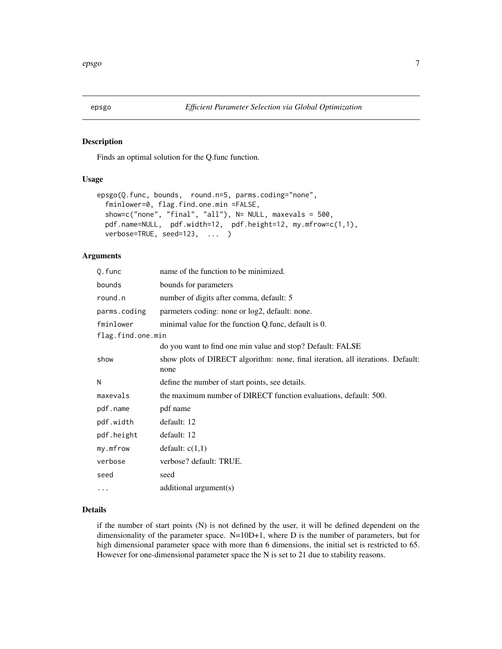#### Description

Finds an optimal solution for the Q.func function.

# Usage

```
epsgo(Q.func, bounds, round.n=5, parms.coding="none",
  fminlower=0, flag.find.one.min =FALSE,
  show=c("none", "final", "all"), N= NULL, maxevals = 500,
 pdf.name=NULL, pdf.width=12, pdf.height=12, my.mfrow=c(1,1),
  verbose=TRUE, seed=123, ... )
```
# Arguments

| Q.func            | name of the function to be minimized.                                                   |
|-------------------|-----------------------------------------------------------------------------------------|
| bounds            | bounds for parameters                                                                   |
| round.n           | number of digits after comma, default: 5                                                |
| parms.coding      | parmeters coding: none or log2, default: none.                                          |
| fminlower         | minimal value for the function Q.func, default is 0.                                    |
| flag.find.one.min |                                                                                         |
|                   | do you want to find one min value and stop? Default: FALSE                              |
| show              | show plots of DIRECT algorithm: none, final iteration, all iterations. Default:<br>none |
| Ν                 | define the number of start points, see details.                                         |
| maxevals          | the maximum number of DIRECT function evaluations, default: 500.                        |
| pdf.name          | pdf name                                                                                |
| pdf.width         | default: 12                                                                             |
| pdf.height        | default: 12                                                                             |
| my.mfrow          | default: $c(1,1)$                                                                       |
| verbose           | verbose? default: TRUE.                                                                 |
| seed              | seed                                                                                    |
| $\cdots$          | additional $argument(s)$                                                                |

# Details

if the number of start points (N) is not defined by the user, it will be defined dependent on the dimensionality of the parameter space. N=10D+1, where D is the number of parameters, but for high dimensional parameter space with more than 6 dimensions, the initial set is restricted to 65. However for one-dimensional parameter space the N is set to 21 due to stability reasons.

<span id="page-6-1"></span><span id="page-6-0"></span>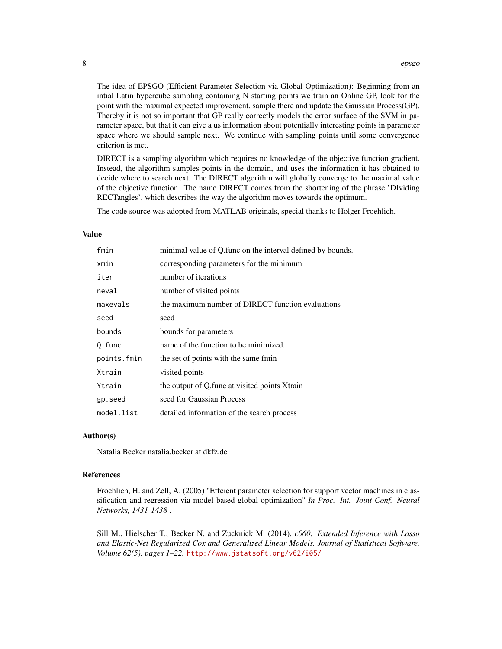The idea of EPSGO (Efficient Parameter Selection via Global Optimization): Beginning from an intial Latin hypercube sampling containing N starting points we train an Online GP, look for the point with the maximal expected improvement, sample there and update the Gaussian Process(GP). Thereby it is not so important that GP really correctly models the error surface of the SVM in parameter space, but that it can give a us information about potentially interesting points in parameter space where we should sample next. We continue with sampling points until some convergence criterion is met.

DIRECT is a sampling algorithm which requires no knowledge of the objective function gradient. Instead, the algorithm samples points in the domain, and uses the information it has obtained to decide where to search next. The DIRECT algorithm will globally converge to the maximal value of the objective function. The name DIRECT comes from the shortening of the phrase 'DIviding RECTangles', which describes the way the algorithm moves towards the optimum.

The code source was adopted from MATLAB originals, special thanks to Holger Froehlich.

# Value

| fmin        | minimal value of Q func on the interval defined by bounds. |
|-------------|------------------------------------------------------------|
| xmin        | corresponding parameters for the minimum                   |
| iter        | number of iterations                                       |
| neval       | number of visited points                                   |
| maxevals    | the maximum number of DIRECT function evaluations          |
| seed        | seed                                                       |
| bounds      | bounds for parameters                                      |
| Q.func      | name of the function to be minimized.                      |
| points.fmin | the set of points with the same fmin                       |
| Xtrain      | visited points                                             |
| Ytrain      | the output of Q func at visited points Xtrain              |
| gp.seed     | seed for Gaussian Process                                  |
| model.list  | detailed information of the search process                 |

#### Author(s)

Natalia Becker natalia.becker at dkfz.de

#### References

Froehlich, H. and Zell, A. (2005) "Effcient parameter selection for support vector machines in classification and regression via model-based global optimization" *In Proc. Int. Joint Conf. Neural Networks, 1431-1438* .

Sill M., Hielscher T., Becker N. and Zucknick M. (2014), *c060: Extended Inference with Lasso and Elastic-Net Regularized Cox and Generalized Linear Models, Journal of Statistical Software, Volume 62(5), pages 1–22.* <http://www.jstatsoft.org/v62/i05/>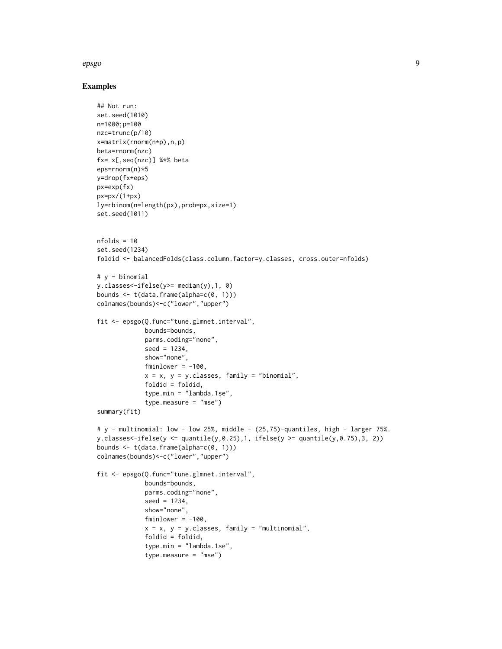#### epsgo 90 a.C. et al. et al. et al. et al. et al. et al. et al. et al. et al. et al. et al. et al. et al. et al

#### Examples

```
## Not run:
set.seed(1010)
n=1000;p=100
nzc=trunc(p/10)
x=matrix(rnorm(n*p),n,p)
beta=rnorm(nzc)
fx= x[,seq(nzc)] %*% beta
eps=rnorm(n)*5
y=drop(fx+eps)
px=exp(fx)
px=px/(1+px)
ly=rbinom(n=length(px),prob=px,size=1)
set.seed(1011)
nfolds = 10set.seed(1234)
foldid <- balancedFolds(class.column.factor=y.classes, cross.outer=nfolds)
# y - binomial
y.classes<-ifelse(y>= median(y),1, 0)
bounds <- t(data.frame(alpha=c(0, 1)))
colnames(bounds)<-c("lower","upper")
fit <- epsgo(Q.func="tune.glmnet.interval",
             bounds=bounds,
             parms.coding="none",
             seed = 1234.
             show="none",
             fminlower = -100,
             x = x, y = y.classes, family = "binomial",
             foldid = foldid,
             type.min = "lambda.1se",
             type.measure = "mse")
summary(fit)
# y - multinomial: low - low 25%, middle - (25,75)-quantiles, high - larger 75%.
y.classes<-ifelse(y <= quantile(y,0.25),1, ifelse(y >= quantile(y,0.75),3, 2))
bounds \leq t(data.frame(alpha=c(0, 1)))
colnames(bounds)<-c("lower","upper")
fit <- epsgo(Q.func="tune.glmnet.interval",
             bounds=bounds,
             parms.coding="none",
             seed = 1234,
             show="none",
             fminlower = -100,
             x = x, y = y. classes, family = "multinomial",
             foldid = foldid,
             type.min = "lambda.1se",
             type.measure = "mse")
```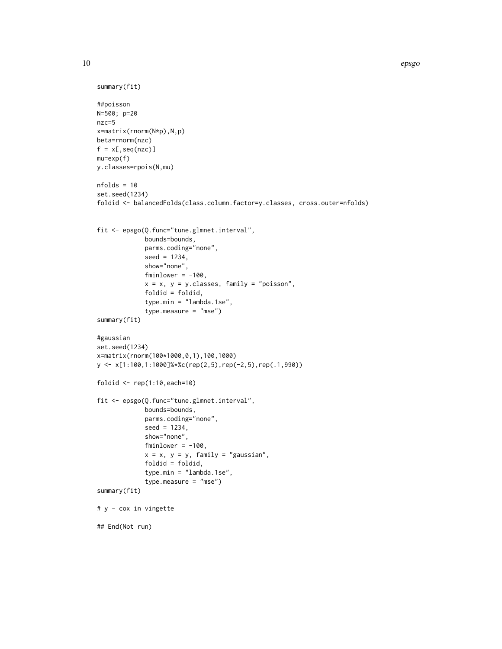```
summary(fit)
##poisson
N=500; p=20
nzc=5
x=matrix(rnorm(N*p),N,p)
beta=rnorm(nzc)
f = x[,seq(nzc)]
mu=exp(f)
y.classes=rpois(N,mu)
nfolds = 10
set.seed(1234)
foldid <- balancedFolds(class.column.factor=y.classes, cross.outer=nfolds)
fit <- epsgo(Q.func="tune.glmnet.interval",
             bounds=bounds,
             parms.coding="none",
             seed = 1234,
             show="none",
             fminlower = -100,
             x = x, y = y.classes, family = "poisson",
             foldid = foldid,
             type.min = "lambda.1se",
             type.measure = "mse")
summary(fit)
#gaussian
set.seed(1234)
x=matrix(rnorm(100*1000,0,1),100,1000)
y <- x[1:100,1:1000]%*%c(rep(2,5),rep(-2,5),rep(.1,990))
foldid \leq rep(1:10, each=10)
fit <- epsgo(Q.func="tune.glmnet.interval",
             bounds=bounds,
             parms.coding="none",
             seed = 1234,
             show="none",
             fminlower = -100,
             x = x, y = y, family = "gaussian",
             foldid = foldid,
             type.min = "lambda.1se",
             type.measure = "mse")
summary(fit)
# y - cox in vingette
## End(Not run)
```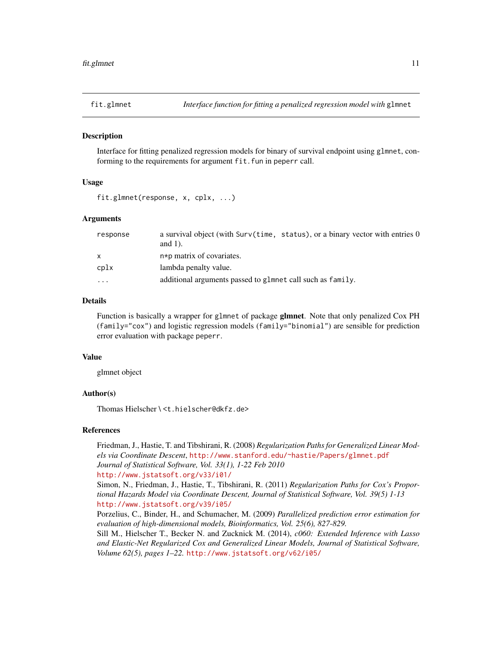<span id="page-10-0"></span>

#### Description

Interface for fitting penalized regression models for binary of survival endpoint using glmnet, conforming to the requirements for argument fit. fun in peperr call.

#### Usage

```
fit.glmnet(response, x, cplx, ...)
```
# Arguments

| response | a survival object (with Surv(time, status), or a binary vector with entries 0<br>and $1$ ). |
|----------|---------------------------------------------------------------------------------------------|
| X        | n*p matrix of covariates.                                                                   |
| cplx     | lambda penalty value.                                                                       |
| $\cdots$ | additional arguments passed to glmnet call such as family.                                  |

#### Details

Function is basically a wrapper for glmnet of package **glmnet**. Note that only penalized Cox PH  $(family="cox")$  and logistic regression models  $(family="binomial")$  are sensible for prediction error evaluation with package peperr.

#### Value

glmnet object

# Author(s)

Thomas Hielscher \ <t.hielscher@dkfz.de>

#### References

Friedman, J., Hastie, T. and Tibshirani, R. (2008) *Regularization Paths for Generalized Linear Models via Coordinate Descent*, <http://www.stanford.edu/~hastie/Papers/glmnet.pdf> *Journal of Statistical Software, Vol. 33(1), 1-22 Feb 2010*

#### <http://www.jstatsoft.org/v33/i01/>

Simon, N., Friedman, J., Hastie, T., Tibshirani, R. (2011) *Regularization Paths for Cox's Proportional Hazards Model via Coordinate Descent, Journal of Statistical Software, Vol. 39(5) 1-13* <http://www.jstatsoft.org/v39/i05/>

Porzelius, C., Binder, H., and Schumacher, M. (2009) *Parallelized prediction error estimation for evaluation of high-dimensional models, Bioinformatics, Vol. 25(6), 827-829.*

Sill M., Hielscher T., Becker N. and Zucknick M. (2014), *c060: Extended Inference with Lasso and Elastic-Net Regularized Cox and Generalized Linear Models, Journal of Statistical Software, Volume 62(5), pages 1–22.* <http://www.jstatsoft.org/v62/i05/>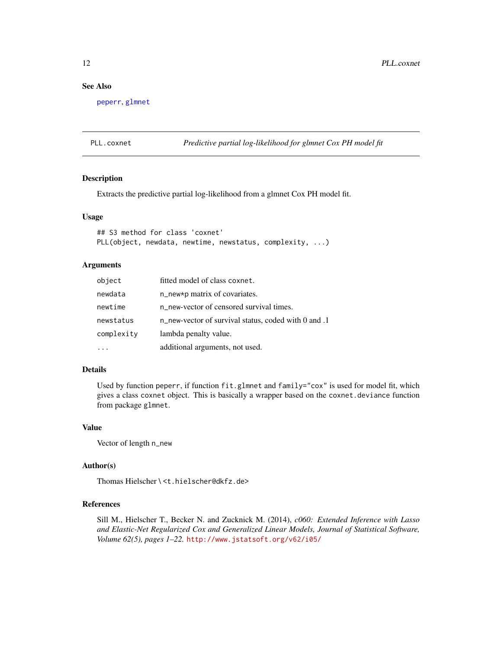# <span id="page-11-0"></span>See Also

[peperr](#page-0-0), [glmnet](#page-0-0)

PLL.coxnet *Predictive partial log-likelihood for glmnet Cox PH model fit*

# Description

Extracts the predictive partial log-likelihood from a glmnet Cox PH model fit.

# Usage

```
## S3 method for class 'coxnet'
PLL(object, newdata, newtime, newstatus, complexity, ...)
```
#### Arguments

| object     | fitted model of class coxnet.                        |
|------------|------------------------------------------------------|
| newdata    | n_new*p matrix of covariates.                        |
| newtime    | n new-vector of censored survival times.             |
| newstatus  | n_new-vector of survival status, coded with 0 and .1 |
| complexity | lambda penalty value.                                |
|            | additional arguments, not used.                      |

# Details

Used by function peperr, if function fit.glmnet and family="cox" is used for model fit, which gives a class coxnet object. This is basically a wrapper based on the coxnet.deviance function from package glmnet.

# Value

Vector of length n\_new

# Author(s)

Thomas Hielscher \ <t.hielscher@dkfz.de>

# References

Sill M., Hielscher T., Becker N. and Zucknick M. (2014), *c060: Extended Inference with Lasso and Elastic-Net Regularized Cox and Generalized Linear Models, Journal of Statistical Software, Volume 62(5), pages 1–22.* <http://www.jstatsoft.org/v62/i05/>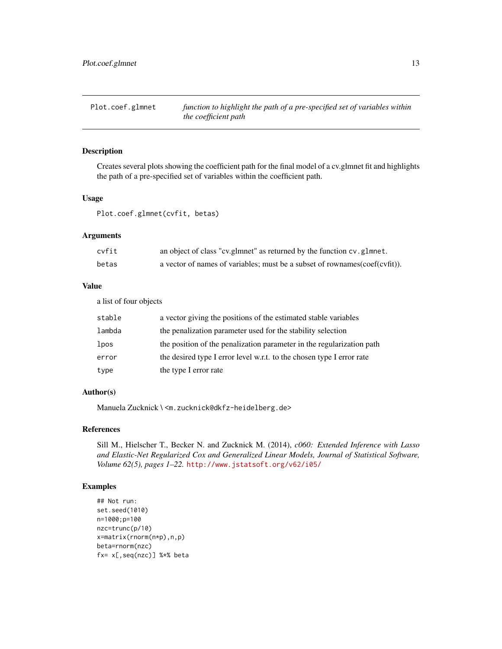<span id="page-12-0"></span>Plot.coef.glmnet *function to highlight the path of a pre-specified set of variables within the coefficient path*

#### Description

Creates several plots showing the coefficient path for the final model of a cv.glmnet fit and highlights the path of a pre-specified set of variables within the coefficient path.

# Usage

Plot.coef.glmnet(cvfit, betas)

#### Arguments

| cvfit | an object of class "cv.glmnet" as returned by the function cv.glmnet.      |
|-------|----------------------------------------------------------------------------|
| betas | a vector of names of variables; must be a subset of rownames(coef(cvfit)). |

# Value

a list of four objects

| stable | a vector giving the positions of the estimated stable variables       |
|--------|-----------------------------------------------------------------------|
| lambda | the penalization parameter used for the stability selection           |
| lpos   | the position of the penalization parameter in the regularization path |
| error  | the desired type I error level w.r.t. to the chosen type I error rate |
| type   | the type I error rate                                                 |

# Author(s)

Manuela Zucknick \ <m.zucknick@dkfz-heidelberg.de>

# References

Sill M., Hielscher T., Becker N. and Zucknick M. (2014), *c060: Extended Inference with Lasso and Elastic-Net Regularized Cox and Generalized Linear Models, Journal of Statistical Software, Volume 62(5), pages 1–22.* <http://www.jstatsoft.org/v62/i05/>

# Examples

```
## Not run:
set.seed(1010)
n=1000;p=100
nzc=trunc(p/10)
x=matrix(rnorm(n*p),n,p)
beta=rnorm(nzc)
fx= x[,seq(nzc)] %*% beta
```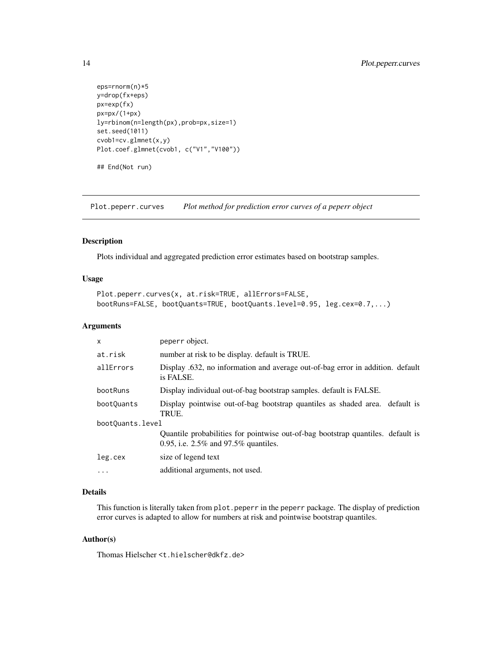```
eps=rnorm(n)*5
y=drop(fx+eps)
px=exp(fx)
px=px/(1+px)
ly=rbinom(n=length(px),prob=px,size=1)
set.seed(1011)
cvob1=cv.glmnet(x,y)
Plot.coef.glmnet(cvob1, c("V1","V100"))
## End(Not run)
```
Plot.peperr.curves *Plot method for prediction error curves of a peperr object*

#### Description

Plots individual and aggregated prediction error estimates based on bootstrap samples.

# Usage

```
Plot.peperr.curves(x, at.risk=TRUE, allErrors=FALSE,
bootRuns=FALSE, bootQuants=TRUE, bootQuants.level=0.95, leg.cex=0.7,...)
```
## Arguments

| $\mathsf{x}$     | peperr object.                                                                                                             |  |
|------------------|----------------------------------------------------------------------------------------------------------------------------|--|
| at.risk          | number at risk to be display. default is TRUE.                                                                             |  |
| allErrors        | Display .632, no information and average out-of-bag error in addition. default<br>is FALSE.                                |  |
| bootRuns         | Display individual out-of-bag bootstrap samples. default is FALSE.                                                         |  |
| boot0uants       | Display pointwise out-of-bag bootstrap quantiles as shaded area. default is<br>TRUE.                                       |  |
| bootQuants.level |                                                                                                                            |  |
|                  | Quantile probabilities for pointwise out-of-bag bootstrap quantiles. default is<br>0.95, i.e. $2.5\%$ and 97.5% quantiles. |  |
| leg.cex          | size of legend text                                                                                                        |  |
| $\ddotsc$        | additional arguments, not used.                                                                                            |  |

# Details

This function is literally taken from plot.peperr in the peperr package. The display of prediction error curves is adapted to allow for numbers at risk and pointwise bootstrap quantiles.

# Author(s)

Thomas Hielscher <t.hielscher@dkfz.de>

<span id="page-13-0"></span>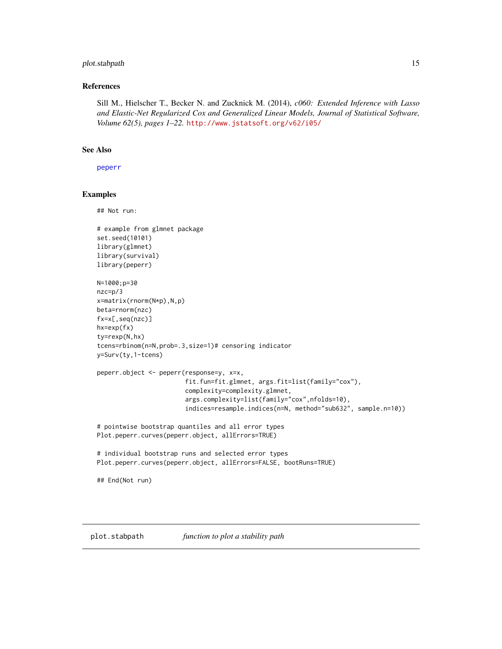# <span id="page-14-0"></span>plot.stabpath 15

# References

Sill M., Hielscher T., Becker N. and Zucknick M. (2014), *c060: Extended Inference with Lasso and Elastic-Net Regularized Cox and Generalized Linear Models, Journal of Statistical Software, Volume 62(5), pages 1–22.* <http://www.jstatsoft.org/v62/i05/>

# See Also

[peperr](#page-0-0)

#### Examples

## Not run:

```
# example from glmnet package
set.seed(10101)
library(glmnet)
library(survival)
library(peperr)
N=1000;p=30
nzc=p/3
x=matrix(rnorm(N*p),N,p)
beta=rnorm(nzc)
fx=x[,seq(nzc)]
hx=exp(fx)
ty=rexp(N,hx)
tcens=rbinom(n=N,prob=.3,size=1)# censoring indicator
y=Surv(ty,1-tcens)
peperr.object <- peperr(response=y, x=x,
                        fit.fun=fit.glmnet, args.fit=list(family="cox"),
                        complexity=complexity.glmnet,
                        args.complexity=list(family="cox",nfolds=10),
                        indices=resample.indices(n=N, method="sub632", sample.n=10))
# pointwise bootstrap quantiles and all error types
Plot.peperr.curves(peperr.object, allErrors=TRUE)
# individual bootstrap runs and selected error types
Plot.peperr.curves(peperr.object, allErrors=FALSE, bootRuns=TRUE)
## End(Not run)
```
<span id="page-14-1"></span>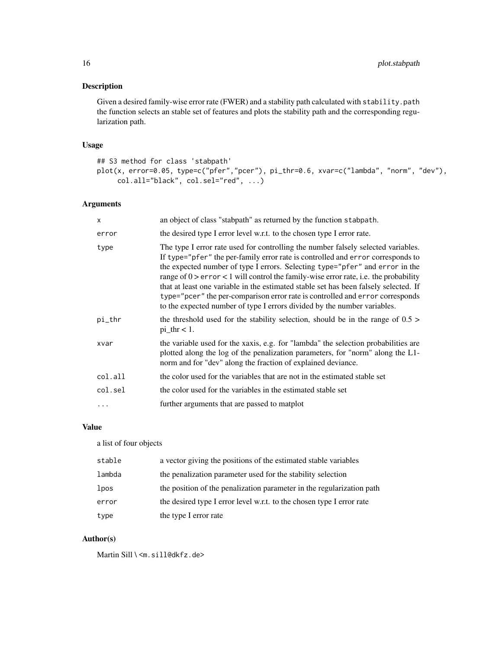# Description

Given a desired family-wise error rate (FWER) and a stability path calculated with stability.path the function selects an stable set of features and plots the stability path and the corresponding regularization path.

# Usage

```
## S3 method for class 'stabpath'
plot(x, error=0.05, type=c("pfer","pcer"), pi_thr=0.6, xvar=c("lambda", "norm", "dev"),
     col.all="black", col.sel="red", ...)
```
# Arguments

| $\mathsf{x}$ | an object of class "stabpath" as returned by the function stabpath.                                                                                                                                                                                                                                                                                                                                                                                                                                                                                                                                 |
|--------------|-----------------------------------------------------------------------------------------------------------------------------------------------------------------------------------------------------------------------------------------------------------------------------------------------------------------------------------------------------------------------------------------------------------------------------------------------------------------------------------------------------------------------------------------------------------------------------------------------------|
| error        | the desired type I error level w.r.t. to the chosen type I error rate.                                                                                                                                                                                                                                                                                                                                                                                                                                                                                                                              |
| type         | The type I error rate used for controlling the number falsely selected variables.<br>If type="pfer" the per-family error rate is controlled and error corresponds to<br>the expected number of type I errors. Selecting type="pfer" and error in the<br>range of $0 >$ error < 1 will control the family-wise error rate, i.e. the probability<br>that at least one variable in the estimated stable set has been falsely selected. If<br>type="pcer" the per-comparison error rate is controlled and error corresponds<br>to the expected number of type I errors divided by the number variables. |
| pi_thr       | the threshold used for the stability selection, should be in the range of $0.5$ ><br>$pi_\text{thr} < 1$ .                                                                                                                                                                                                                                                                                                                                                                                                                                                                                          |
| xvar         | the variable used for the xaxis, e.g. for "lambda" the selection probabilities are<br>plotted along the log of the penalization parameters, for "norm" along the L1-<br>norm and for "dev" along the fraction of explained deviance.                                                                                                                                                                                                                                                                                                                                                                |
| col.all      | the color used for the variables that are not in the estimated stable set                                                                                                                                                                                                                                                                                                                                                                                                                                                                                                                           |
| col.sel      | the color used for the variables in the estimated stable set                                                                                                                                                                                                                                                                                                                                                                                                                                                                                                                                        |
| .            | further arguments that are passed to matplot                                                                                                                                                                                                                                                                                                                                                                                                                                                                                                                                                        |
|              |                                                                                                                                                                                                                                                                                                                                                                                                                                                                                                                                                                                                     |

### Value

a list of four objects

| stable | a vector giving the positions of the estimated stable variables       |
|--------|-----------------------------------------------------------------------|
| lambda | the penalization parameter used for the stability selection           |
| lpos   | the position of the penalization parameter in the regularization path |
| error  | the desired type I error level w.r.t. to the chosen type I error rate |
| type   | the type I error rate                                                 |

# Author(s)

Martin Sill \<m.sill@dkfz.de>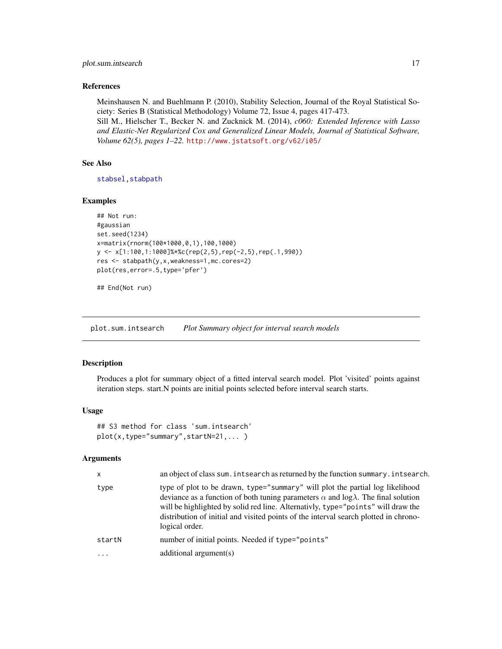#### <span id="page-16-0"></span>References

Meinshausen N. and Buehlmann P. (2010), Stability Selection, Journal of the Royal Statistical Society: Series B (Statistical Methodology) Volume 72, Issue 4, pages 417-473.

Sill M., Hielscher T., Becker N. and Zucknick M. (2014), *c060: Extended Inference with Lasso and Elastic-Net Regularized Cox and Generalized Linear Models, Journal of Statistical Software, Volume 62(5), pages 1–22.* <http://www.jstatsoft.org/v62/i05/>

# See Also

[stabsel](#page-21-1), stabpath

#### Examples

```
## Not run:
#gaussian
set.seed(1234)
x=matrix(rnorm(100*1000,0,1),100,1000)
y <- x[1:100,1:1000]%*%c(rep(2,5),rep(-2,5),rep(.1,990))
res <- stabpath(y,x,weakness=1,mc.cores=2)
plot(res,error=.5,type='pfer')
```
## End(Not run)

<span id="page-16-1"></span>plot.sum.intsearch *Plot Summary object for interval search models*

#### Description

Produces a plot for summary object of a fitted interval search model. Plot 'visited' points against iteration steps. start.N points are initial points selected before interval search starts.

#### Usage

```
## S3 method for class 'sum.intsearch'
plot(x,type="summary",startN=21,... )
```
#### Arguments

| $\mathsf{x}$ | an object of class sum. intsearch as returned by the function summary. intsearch.                                                                                                                                                                                                                                                                                                |
|--------------|----------------------------------------------------------------------------------------------------------------------------------------------------------------------------------------------------------------------------------------------------------------------------------------------------------------------------------------------------------------------------------|
| type         | type of plot to be drawn, type="summary" will plot the partial log likelihood<br>deviance as a function of both tuning parameters $\alpha$ and $\log \lambda$ . The final solution<br>will be highlighted by solid red line. Alternativly, type="points" will draw the<br>distribution of initial and visited points of the interval search plotted in chrono-<br>logical order. |
| startN       | number of initial points. Needed if type="points"                                                                                                                                                                                                                                                                                                                                |
| $\cdot$      | additional $argument(s)$                                                                                                                                                                                                                                                                                                                                                         |
|              |                                                                                                                                                                                                                                                                                                                                                                                  |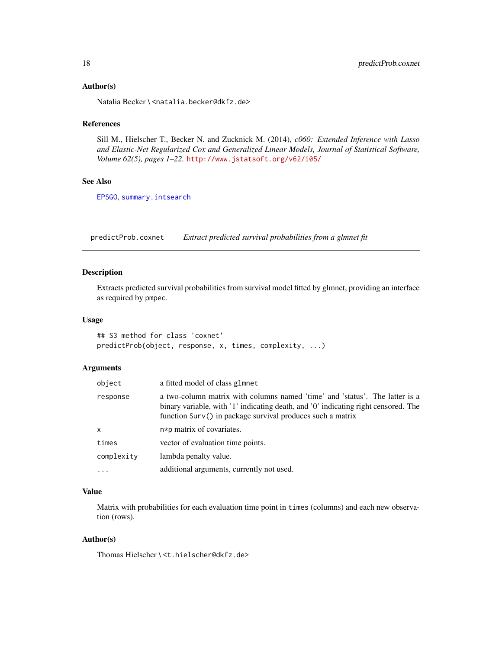#### <span id="page-17-0"></span>Author(s)

Natalia Becker \<natalia.becker@dkfz.de>

# References

Sill M., Hielscher T., Becker N. and Zucknick M. (2014), *c060: Extended Inference with Lasso and Elastic-Net Regularized Cox and Generalized Linear Models, Journal of Statistical Software, Volume 62(5), pages 1–22.* <http://www.jstatsoft.org/v62/i05/>

# See Also

[EPSGO](#page-0-0), [summary.intsearch](#page-23-1)

<span id="page-17-1"></span>predictProb.coxnet *Extract predicted survival probabilities from a glmnet fit*

#### Description

Extracts predicted survival probabilities from survival model fitted by glmnet, providing an interface as required by pmpec.

# Usage

## S3 method for class 'coxnet' predictProb(object, response, x, times, complexity, ...)

#### Arguments

| object     | a fitted model of class glmnet                                                                                                                                                                                                  |
|------------|---------------------------------------------------------------------------------------------------------------------------------------------------------------------------------------------------------------------------------|
| response   | a two-column matrix with columns named 'time' and 'status'. The latter is a<br>binary variable, with '1' indicating death, and '0' indicating right censored. The<br>function Surv() in package survival produces such a matrix |
| x          | n*p matrix of covariates.                                                                                                                                                                                                       |
| times      | vector of evaluation time points.                                                                                                                                                                                               |
| complexity | lambda penalty value.                                                                                                                                                                                                           |
| $\cdots$   | additional arguments, currently not used.                                                                                                                                                                                       |

# Value

Matrix with probabilities for each evaluation time point in times (columns) and each new observation (rows).

#### Author(s)

Thomas Hielscher \ <t.hielscher@dkfz.de>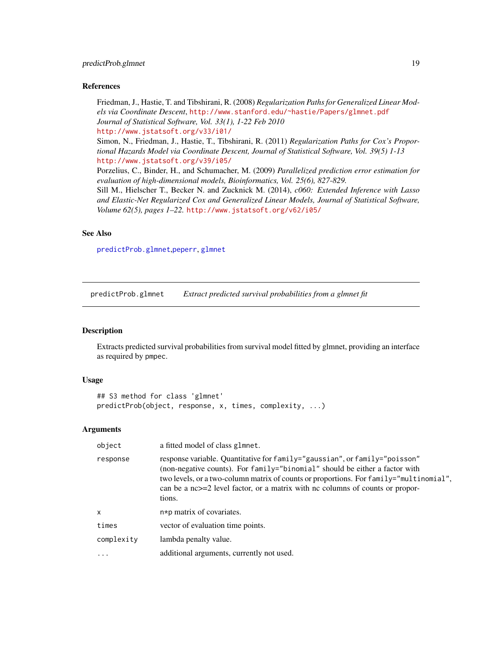#### <span id="page-18-0"></span>References

Friedman, J., Hastie, T. and Tibshirani, R. (2008) *Regularization Paths for Generalized Linear Models via Coordinate Descent*, <http://www.stanford.edu/~hastie/Papers/glmnet.pdf> *Journal of Statistical Software, Vol. 33(1), 1-22 Feb 2010* <http://www.jstatsoft.org/v33/i01/>

Simon, N., Friedman, J., Hastie, T., Tibshirani, R. (2011) *Regularization Paths for Cox's Proportional Hazards Model via Coordinate Descent, Journal of Statistical Software, Vol. 39(5) 1-13* <http://www.jstatsoft.org/v39/i05/>

Porzelius, C., Binder, H., and Schumacher, M. (2009) *Parallelized prediction error estimation for evaluation of high-dimensional models, Bioinformatics, Vol. 25(6), 827-829.*

Sill M., Hielscher T., Becker N. and Zucknick M. (2014), *c060: Extended Inference with Lasso and Elastic-Net Regularized Cox and Generalized Linear Models, Journal of Statistical Software, Volume 62(5), pages 1–22.* <http://www.jstatsoft.org/v62/i05/>

#### See Also

[predictProb.glmnet](#page-18-1),[peperr](#page-0-0), [glmnet](#page-0-0)

<span id="page-18-1"></span>predictProb.glmnet *Extract predicted survival probabilities from a glmnet fit*

#### Description

Extracts predicted survival probabilities from survival model fitted by glmnet, providing an interface as required by pmpec.

#### Usage

```
## S3 method for class 'glmnet'
predictProb(object, response, x, times, complexity, ...)
```
#### Arguments

| object       | a fitted model of class glmnet.                                                                                                                                                                                                                                                                                                                |
|--------------|------------------------------------------------------------------------------------------------------------------------------------------------------------------------------------------------------------------------------------------------------------------------------------------------------------------------------------------------|
| response     | response variable. Quantitative for family="gaussian", or family="poisson"<br>(non-negative counts). For family="binomial" should be either a factor with<br>two levels, or a two-column matrix of counts or proportions. For family="multinomial",<br>can be a nc>=2 level factor, or a matrix with nc columns of counts or propor-<br>tions. |
| $\mathsf{x}$ | n*p matrix of covariates.                                                                                                                                                                                                                                                                                                                      |
| times        | vector of evaluation time points.                                                                                                                                                                                                                                                                                                              |
| complexity   | lambda penalty value.                                                                                                                                                                                                                                                                                                                          |
| $\cdots$     | additional arguments, currently not used.                                                                                                                                                                                                                                                                                                      |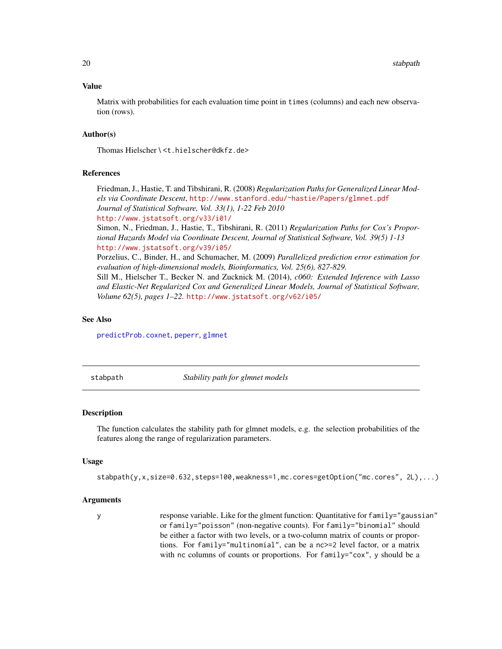#### Value

Matrix with probabilities for each evaluation time point in times (columns) and each new observation (rows).

#### Author(s)

Thomas Hielscher \ <t.hielscher@dkfz.de>

#### References

Friedman, J., Hastie, T. and Tibshirani, R. (2008) *Regularization Paths for Generalized Linear Models via Coordinate Descent*, <http://www.stanford.edu/~hastie/Papers/glmnet.pdf> *Journal of Statistical Software, Vol. 33(1), 1-22 Feb 2010* <http://www.jstatsoft.org/v33/i01/> Simon, N., Friedman, J., Hastie, T., Tibshirani, R. (2011) *Regularization Paths for Cox's Proportional Hazards Model via Coordinate Descent, Journal of Statistical Software, Vol. 39(5) 1-13*

<http://www.jstatsoft.org/v39/i05/>

Porzelius, C., Binder, H., and Schumacher, M. (2009) *Parallelized prediction error estimation for evaluation of high-dimensional models, Bioinformatics, Vol. 25(6), 827-829.*

Sill M., Hielscher T., Becker N. and Zucknick M. (2014), *c060: Extended Inference with Lasso and Elastic-Net Regularized Cox and Generalized Linear Models, Journal of Statistical Software, Volume 62(5), pages 1–22.* <http://www.jstatsoft.org/v62/i05/>

# See Also

[predictProb.coxnet](#page-17-1), [peperr](#page-0-0), [glmnet](#page-0-0)

<span id="page-19-1"></span>stabpath *Stability path for glmnet models*

#### Description

The function calculates the stability path for glmnet models, e.g. the selection probabilities of the features along the range of regularization parameters.

#### Usage

stabpath(y,x,size=0.632,steps=100,weakness=1,mc.cores=getOption("mc.cores", 2L),...)

#### Arguments

y response variable. Like for the glment function: Quantitative for family="gaussian" or family="poisson" (non-negative counts). For family="binomial" should be either a factor with two levels, or a two-column matrix of counts or proportions. For family="multinomial", can be a nc>=2 level factor, or a matrix with nc columns of counts or proportions. For family="cox", y should be a

<span id="page-19-0"></span>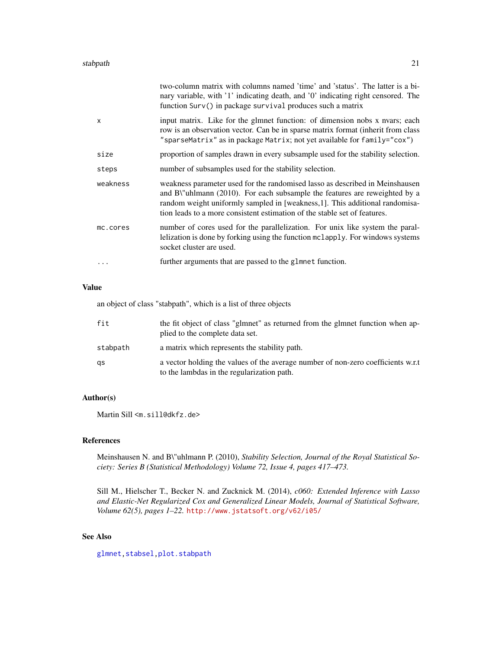<span id="page-20-0"></span>

|              | two-column matrix with columns named 'time' and 'status'. The latter is a bi-<br>nary variable, with '1' indicating death, and '0' indicating right censored. The<br>function Surv() in package survival produces such a matrix                                                                                        |
|--------------|------------------------------------------------------------------------------------------------------------------------------------------------------------------------------------------------------------------------------------------------------------------------------------------------------------------------|
| $\mathsf{x}$ | input matrix. Like for the glmnet function: of dimension nobs x nvars; each<br>row is an observation vector. Can be in sparse matrix format (inherit from class<br>"sparseMatrix" as in package Matrix; not yet available for family="cox")                                                                            |
| size         | proportion of samples drawn in every subsample used for the stability selection.                                                                                                                                                                                                                                       |
| steps        | number of subsamples used for the stability selection.                                                                                                                                                                                                                                                                 |
| weakness     | weakness parameter used for the randomised lasso as described in Meinshausen<br>and B\"uhlmann (2010). For each subsample the features are reweighted by a<br>random weight uniformly sampled in [weakness,1]. This additional randomisa-<br>tion leads to a more consistent estimation of the stable set of features. |
| mc.cores     | number of cores used for the parallelization. For unix like system the paral-<br>lelization is done by forking using the function mclapply. For windows systems<br>socket cluster are used.                                                                                                                            |
|              | further arguments that are passed to the glmnet function.                                                                                                                                                                                                                                                              |
|              |                                                                                                                                                                                                                                                                                                                        |

#### Value

an object of class "stabpath", which is a list of three objects

| fit      | the fit object of class "glmnet" as returned from the glmnet function when ap-<br>plied to the complete data set.               |
|----------|---------------------------------------------------------------------------------------------------------------------------------|
| stabpath | a matrix which represents the stability path.                                                                                   |
| qs       | a vector holding the values of the average number of non-zero coefficients w.r.t.<br>to the lambdas in the regularization path. |

# Author(s)

Martin Sill <m.sill@dkfz.de>

# References

Meinshausen N. and B\"uhlmann P. (2010), *Stability Selection, Journal of the Royal Statistical Society: Series B (Statistical Methodology) Volume 72, Issue 4, pages 417–473.*

Sill M., Hielscher T., Becker N. and Zucknick M. (2014), *c060: Extended Inference with Lasso and Elastic-Net Regularized Cox and Generalized Linear Models, Journal of Statistical Software, Volume 62(5), pages 1–22.* <http://www.jstatsoft.org/v62/i05/>

# See Also

[glmnet](#page-0-0)[,stabsel](#page-21-1)[,plot.stabpath](#page-14-1)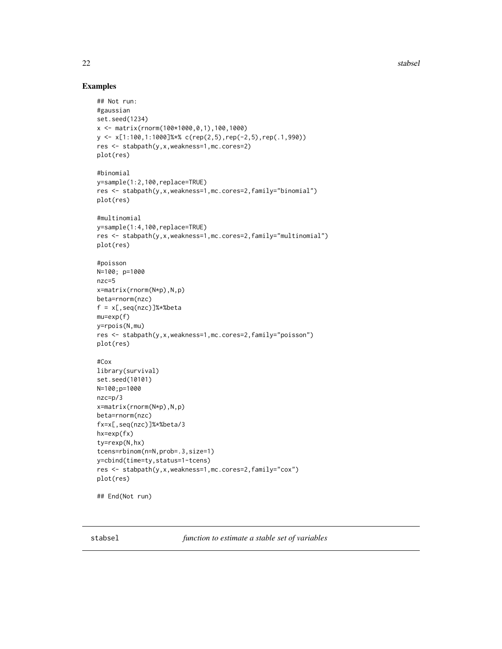22 stabsel and the stabsel stabsel stabsel stabsel stabsel stabsel

# Examples

```
## Not run:
#gaussian
set.seed(1234)
x <- matrix(rnorm(100*1000,0,1),100,1000)
y <- x[1:100,1:1000]%*% c(rep(2,5),rep(-2,5),rep(.1,990))
res <- stabpath(y,x,weakness=1,mc.cores=2)
plot(res)
#binomial
y=sample(1:2,100,replace=TRUE)
res <- stabpath(y,x,weakness=1,mc.cores=2,family="binomial")
plot(res)
#multinomial
y=sample(1:4,100,replace=TRUE)
res <- stabpath(y,x,weakness=1,mc.cores=2,family="multinomial")
plot(res)
#poisson
N=100; p=1000
nzc=5
x=matrix(rnorm(N*p),N,p)
beta=rnorm(nzc)
f = x[,seq(nzc)]%*%beta
mu=exp(f)
y=rpois(N,mu)
res <- stabpath(y,x,weakness=1,mc.cores=2,family="poisson")
plot(res)
#Cox
library(survival)
set.seed(10101)
N=100;p=1000
nzc=p/3
x=matrix(rnorm(N*p),N,p)
beta=rnorm(nzc)
fx=x[,seq(nzc)]%*%beta/3
hx=exp(fx)
ty=rexp(N,hx)
tcens=rbinom(n=N,prob=.3,size=1)
y=cbind(time=ty,status=1-tcens)
res <- stabpath(y,x,weakness=1,mc.cores=2,family="cox")
plot(res)
## End(Not run)
```
<span id="page-21-1"></span>stabsel *function to estimate a stable set of variables*

<span id="page-21-0"></span>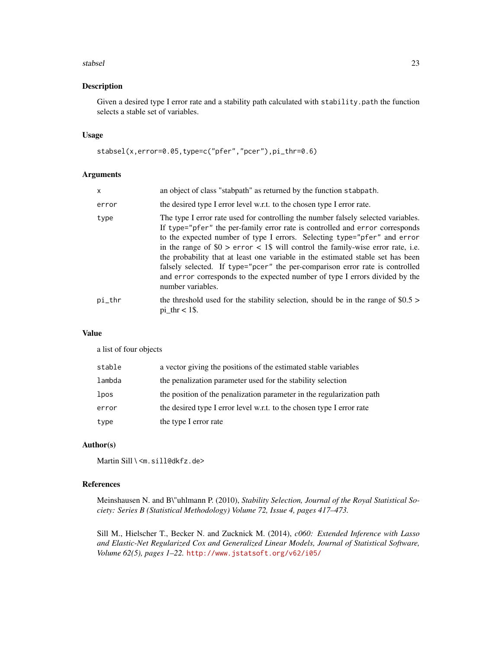#### stabsel 23

# Description

Given a desired type I error rate and a stability path calculated with stability.path the function selects a stable set of variables.

# Usage

stabsel(x,error=0.05,type=c("pfer","pcer"),pi\_thr=0.6)

#### Arguments

| x      | an object of class "stabpath" as returned by the function stabpath.                                                                                                                                                                                                                                                                                                                                                                                                                                                                                                                                       |
|--------|-----------------------------------------------------------------------------------------------------------------------------------------------------------------------------------------------------------------------------------------------------------------------------------------------------------------------------------------------------------------------------------------------------------------------------------------------------------------------------------------------------------------------------------------------------------------------------------------------------------|
| error  | the desired type I error level w.r.t. to the chosen type I error rate.                                                                                                                                                                                                                                                                                                                                                                                                                                                                                                                                    |
| type   | The type I error rate used for controlling the number falsely selected variables.<br>If type="pfer" the per-family error rate is controlled and error corresponds<br>to the expected number of type I errors. Selecting type="pfer" and error<br>in the range of $$0 >$ error < 1\$ will control the family-wise error rate, i.e.<br>the probability that at least one variable in the estimated stable set has been<br>falsely selected. If type="pcer" the per-comparison error rate is controlled<br>and error corresponds to the expected number of type I errors divided by the<br>number variables. |
| pi_thr | the threshold used for the stability selection, should be in the range of $$0.5>$<br>$pi_{\text{thr}} < 1\$ .                                                                                                                                                                                                                                                                                                                                                                                                                                                                                             |

# Value

a list of four objects

| stable | a vector giving the positions of the estimated stable variables       |
|--------|-----------------------------------------------------------------------|
| lambda | the penalization parameter used for the stability selection           |
| lpos   | the position of the penalization parameter in the regularization path |
| error  | the desired type I error level w.r.t. to the chosen type I error rate |
| type   | the type I error rate                                                 |

#### Author(s)

Martin Sill \ <m. sill@dkfz.de>

#### References

Meinshausen N. and B\"uhlmann P. (2010), *Stability Selection, Journal of the Royal Statistical Society: Series B (Statistical Methodology) Volume 72, Issue 4, pages 417–473.*

Sill M., Hielscher T., Becker N. and Zucknick M. (2014), *c060: Extended Inference with Lasso and Elastic-Net Regularized Cox and Generalized Linear Models, Journal of Statistical Software, Volume 62(5), pages 1–22.* <http://www.jstatsoft.org/v62/i05/>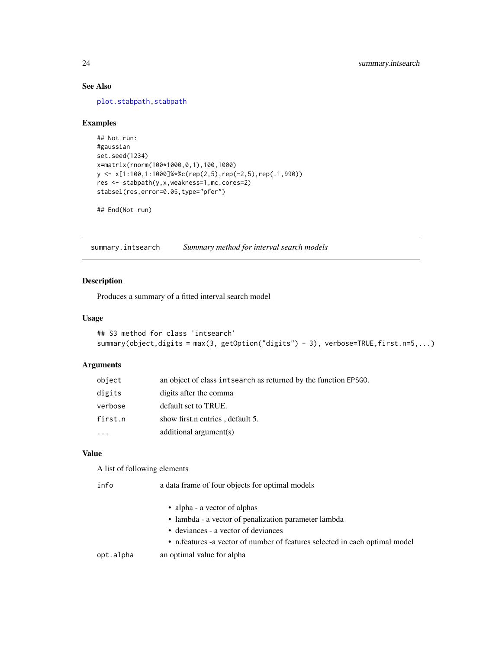# See Also

[plot.stabpath](#page-14-1), stabpath

# Examples

```
## Not run:
#gaussian
set.seed(1234)
x=matrix(rnorm(100*1000,0,1),100,1000)
y <- x[1:100,1:1000]%*%c(rep(2,5),rep(-2,5),rep(.1,990))
res <- stabpath(y,x,weakness=1,mc.cores=2)
stabsel(res,error=0.05,type="pfer")
```
## End(Not run)

<span id="page-23-1"></span>summary.intsearch *Summary method for interval search models*

# Description

Produces a summary of a fitted interval search model

#### Usage

```
## S3 method for class 'intsearch'
summary(object,digits = max(3, getOption("digits") - 3), verbose=TRUE,first.n=5,...)
```
# Arguments

| object  | an object of class intsearch as returned by the function EPSGO. |
|---------|-----------------------------------------------------------------|
| digits  | digits after the comma                                          |
| verbose | default set to TRUE.                                            |
| first.n | show first n entries, default 5.                                |
| .       | additional $argument(s)$                                        |

# Value

A list of following elements

| a data frame of four objects for optimal models                             |  |
|-----------------------------------------------------------------------------|--|
| • alpha - a vector of alphas                                                |  |
| • lambda - a vector of penalization parameter lambda                        |  |
| • deviances - a vector of deviances                                         |  |
| • n.features -a vector of number of features selected in each optimal model |  |
| an optimal value for alpha                                                  |  |
|                                                                             |  |

<span id="page-23-0"></span>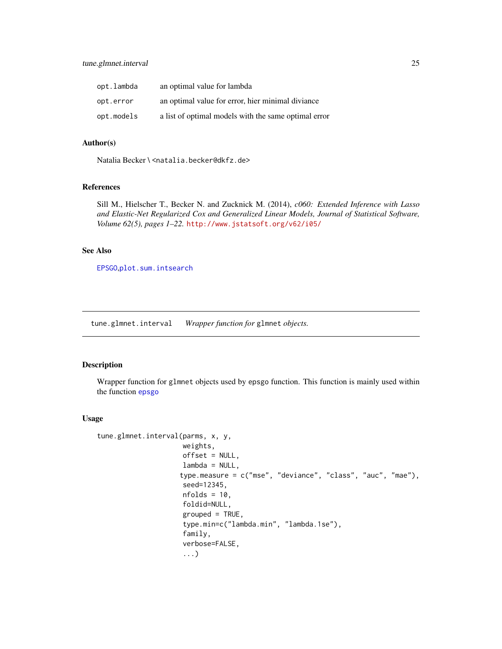<span id="page-24-0"></span>

| opt.lambda | an optimal value for lambda                          |
|------------|------------------------------------------------------|
| opt.error  | an optimal value for error, hier minimal diviance    |
| opt.models | a list of optimal models with the same optimal error |

#### Author(s)

Natalia Becker \ <natalia.becker@dkfz.de>

# References

Sill M., Hielscher T., Becker N. and Zucknick M. (2014), *c060: Extended Inference with Lasso and Elastic-Net Regularized Cox and Generalized Linear Models, Journal of Statistical Software, Volume 62(5), pages 1–22.* <http://www.jstatsoft.org/v62/i05/>

#### See Also

[EPSGO](#page-0-0),[plot.sum.intsearch](#page-16-1)

tune.glmnet.interval *Wrapper function for* glmnet *objects.*

# Description

Wrapper function for glmnet objects used by epsgo function. This function is mainly used within the function [epsgo](#page-6-1)

# Usage

```
tune.glmnet.interval(parms, x, y,
                     weights,
                     offset = NULL,
                     lambda = NULL,
                    type.measure = c("mse", "deviance", "class", "auc", "mae"),
                     seed=12345,
                     nfolds = 10,
                     foldid=NULL,
                     grouped = TRUE,type.min=c("lambda.min", "lambda.1se"),
                     family,
                     verbose=FALSE,
                     ...)
```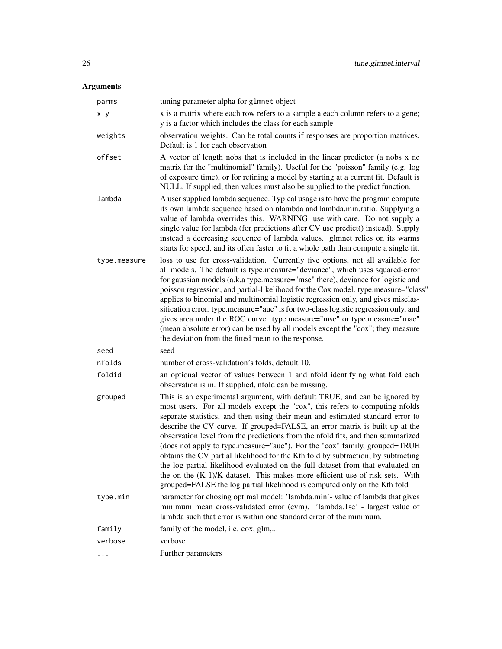# Arguments

| parms        | tuning parameter alpha for glmnet object                                                                                                                                                                                                                                                                                                                                                                                                                                                                                                                                                                                                                                                                                                                                                                                            |
|--------------|-------------------------------------------------------------------------------------------------------------------------------------------------------------------------------------------------------------------------------------------------------------------------------------------------------------------------------------------------------------------------------------------------------------------------------------------------------------------------------------------------------------------------------------------------------------------------------------------------------------------------------------------------------------------------------------------------------------------------------------------------------------------------------------------------------------------------------------|
| x, y         | x is a matrix where each row refers to a sample a each column refers to a gene;<br>y is a factor which includes the class for each sample                                                                                                                                                                                                                                                                                                                                                                                                                                                                                                                                                                                                                                                                                           |
| weights      | observation weights. Can be total counts if responses are proportion matrices.<br>Default is 1 for each observation                                                                                                                                                                                                                                                                                                                                                                                                                                                                                                                                                                                                                                                                                                                 |
| offset       | A vector of length nobs that is included in the linear predictor (a nobs x nc<br>matrix for the "multinomial" family). Useful for the "poisson" family (e.g. log<br>of exposure time), or for refining a model by starting at a current fit. Default is<br>NULL. If supplied, then values must also be supplied to the predict function.                                                                                                                                                                                                                                                                                                                                                                                                                                                                                            |
| lambda       | A user supplied lambda sequence. Typical usage is to have the program compute<br>its own lambda sequence based on nlambda and lambda.min.ratio. Supplying a<br>value of lambda overrides this. WARNING: use with care. Do not supply a<br>single value for lambda (for predictions after CV use predict() instead). Supply<br>instead a decreasing sequence of lambda values. glmnet relies on its warms<br>starts for speed, and its often faster to fit a whole path than compute a single fit.                                                                                                                                                                                                                                                                                                                                   |
| type.measure | loss to use for cross-validation. Currently five options, not all available for<br>all models. The default is type.measure="deviance", which uses squared-error<br>for gaussian models (a.k.a type.measure="mse" there), deviance for logistic and<br>poisson regression, and partial-likelihood for the Cox model. type.measure="class"<br>applies to binomial and multinomial logistic regression only, and gives misclas-<br>sification error. type.measure="auc" is for two-class logistic regression only, and<br>gives area under the ROC curve. type.measure="mse" or type.measure="mae"<br>(mean absolute error) can be used by all models except the "cox"; they measure<br>the deviation from the fitted mean to the response.                                                                                            |
| seed         | seed                                                                                                                                                                                                                                                                                                                                                                                                                                                                                                                                                                                                                                                                                                                                                                                                                                |
| nfolds       | number of cross-validation's folds, default 10.                                                                                                                                                                                                                                                                                                                                                                                                                                                                                                                                                                                                                                                                                                                                                                                     |
| foldid       | an optional vector of values between 1 and nfold identifying what fold each<br>observation is in. If supplied, nfold can be missing.                                                                                                                                                                                                                                                                                                                                                                                                                                                                                                                                                                                                                                                                                                |
| grouped      | This is an experimental argument, with default TRUE, and can be ignored by<br>most users. For all models except the "cox", this refers to computing nfolds<br>separate statistics, and then using their mean and estimated standard error to<br>describe the CV curve. If grouped=FALSE, an error matrix is built up at the<br>observation level from the predictions from the nfold fits, and then summarized<br>(does not apply to type.measure="auc"). For the "cox" family, grouped=TRUE<br>obtains the CV partial likelihood for the Kth fold by subtraction; by subtracting<br>the log partial likelihood evaluated on the full dataset from that evaluated on<br>the on the $(K-1)/K$ dataset. This makes more efficient use of risk sets. With<br>grouped=FALSE the log partial likelihood is computed only on the Kth fold |
| type.min     | parameter for chosing optimal model: 'lambda.min'- value of lambda that gives<br>minimum mean cross-validated error (cvm). 'lambda.1se' - largest value of<br>lambda such that error is within one standard error of the minimum.                                                                                                                                                                                                                                                                                                                                                                                                                                                                                                                                                                                                   |
| family       | family of the model, i.e. cox, glm,                                                                                                                                                                                                                                                                                                                                                                                                                                                                                                                                                                                                                                                                                                                                                                                                 |
| verbose      | verbose                                                                                                                                                                                                                                                                                                                                                                                                                                                                                                                                                                                                                                                                                                                                                                                                                             |
| $\cdots$     | Further parameters                                                                                                                                                                                                                                                                                                                                                                                                                                                                                                                                                                                                                                                                                                                                                                                                                  |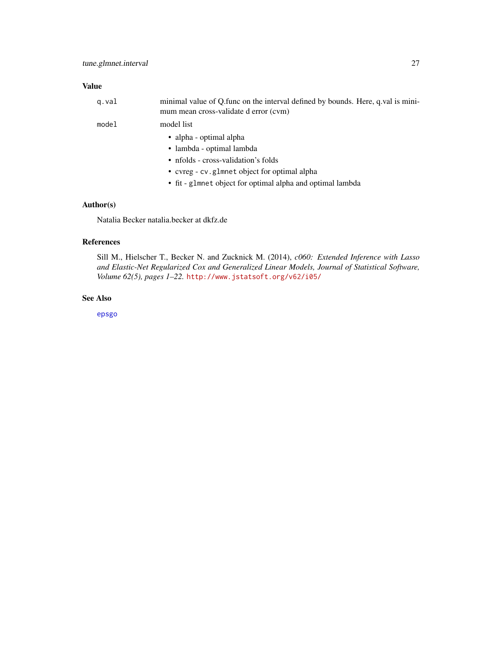# <span id="page-26-0"></span>Value

| g.val | minimal value of Q func on the interval defined by bounds. Here, q val is mini-<br>mum mean cross-validate d error (cvm) |
|-------|--------------------------------------------------------------------------------------------------------------------------|
| model | model list                                                                                                               |
|       | • alpha - optimal alpha                                                                                                  |
|       | • lambda - optimal lambda                                                                                                |
|       | • nfolds - cross-validation's folds                                                                                      |
|       | • cvreg - cv.glmnet object for optimal alpha                                                                             |
|       | • fit - glmnet object for optimal alpha and optimal lambda                                                               |

# Author(s)

Natalia Becker natalia.becker at dkfz.de

#### References

Sill M., Hielscher T., Becker N. and Zucknick M. (2014), *c060: Extended Inference with Lasso and Elastic-Net Regularized Cox and Generalized Linear Models, Journal of Statistical Software, Volume 62(5), pages 1–22.* <http://www.jstatsoft.org/v62/i05/>

# See Also

[epsgo](#page-6-1)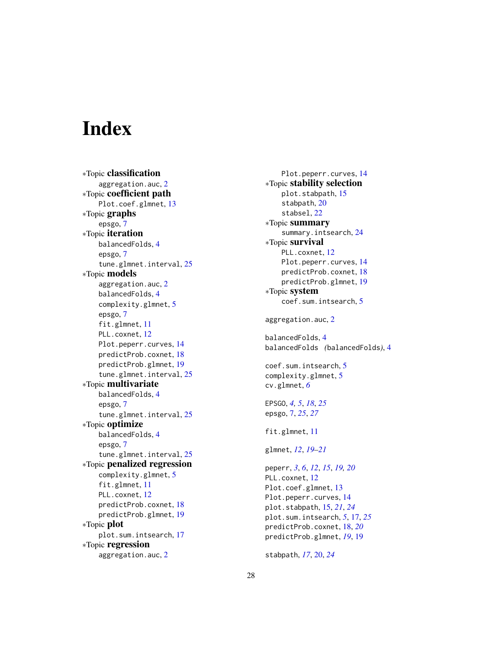# <span id="page-27-0"></span>**Index**

∗Topic classification aggregation.auc , [2](#page-1-0) ∗Topic coefficient path Plot.coef.glmnet , [13](#page-12-0) ∗Topic graphs epsgo , [7](#page-6-0) ∗Topic iteration balancedFolds , [4](#page-3-0) epsgo , [7](#page-6-0) tune.glmnet.interval , [25](#page-24-0) ∗Topic models aggregation.auc , [2](#page-1-0) balancedFolds , [4](#page-3-0) complexity.glmnet , [5](#page-4-0) epsgo , [7](#page-6-0) fit.glmnet , [11](#page-10-0) PLL.coxnet, [12](#page-11-0) Plot.peperr.curves , [14](#page-13-0) predictProb.coxnet , [18](#page-17-0) predictProb.glmnet , [19](#page-18-0) tune.glmnet.interval, [25](#page-24-0) ∗Topic multivariate balancedFolds , [4](#page-3-0) epsgo , [7](#page-6-0) tune.glmnet.interval , [25](#page-24-0) ∗Topic optimize balancedFolds , [4](#page-3-0) epsgo , [7](#page-6-0) tune.glmnet.interval, [25](#page-24-0) ∗Topic penalized regression complexity.glmnet , [5](#page-4-0) fit.glmnet , [11](#page-10-0) PLL.coxnet, [12](#page-11-0) predictProb.coxnet , [18](#page-17-0) predictProb.glmnet , [19](#page-18-0) ∗Topic plot plot.sum.intsearch , [17](#page-16-0) ∗Topic regression aggregation.auc , [2](#page-1-0)

Plot.peperr.curves , [14](#page-13-0) ∗Topic stability selection plot.stabpath , [15](#page-14-0) stabpath , [20](#page-19-0) stabsel , [22](#page-21-0) ∗Topic summary summary.intsearch , [24](#page-23-0) ∗Topic survival PLL.coxnet, [12](#page-11-0) Plot.peperr.curves, [14](#page-13-0) predictProb.coxnet, [18](#page-17-0) predictProb.glmnet , [19](#page-18-0) ∗Topic system coef.sum.intsearch , [5](#page-4-0) aggregation.auc , [2](#page-1-0) balancedFolds , [4](#page-3-0) balancedFolds *(*balancedFolds *)* , [4](#page-3-0) coef.sum.intsearch, [5](#page-4-0) complexity.glmnet , [5](#page-4-0) cv.glmnet , *[6](#page-5-0)* EPSGO , *[4](#page-3-0) , [5](#page-4-0)* , *[18](#page-17-0)* , *[25](#page-24-0)* epsgo , [7](#page-6-0) , *[25](#page-24-0)* , *[27](#page-26-0)* fit.glmnet, [11](#page-10-0) glmnet , *[12](#page-11-0)* , *[19](#page-18-0) [–21](#page-20-0)* peperr , *[3](#page-2-0)* , *[6](#page-5-0)* , *[12](#page-11-0)* , *[15](#page-14-0)* , *[19](#page-18-0) , [20](#page-19-0)* PLL.coxnet, [12](#page-11-0) Plot.coef.glmnet , [13](#page-12-0) Plot.peperr.curves , [14](#page-13-0) plot.stabpath , [15](#page-14-0) , *[21](#page-20-0)* , *[24](#page-23-0)* plot.sum.intsearch , *[5](#page-4-0)* , [17](#page-16-0) , *[25](#page-24-0)* predictProb.coxnet , [18](#page-17-0) , *[20](#page-19-0)* predictProb.glmnet , *[19](#page-18-0)* , [19](#page-18-0)

stabpath , *[17](#page-16-0)* , [20](#page-19-0) , *[24](#page-23-0)*